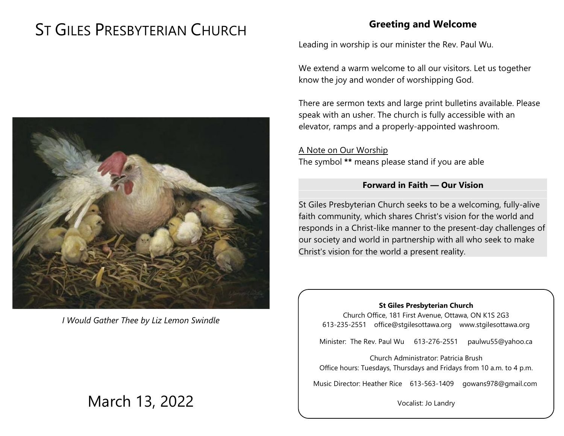# ST GILES PRESBYTERIAN CHURCH

## **Greeting and Welcome**

Leading in worship is our minister the Rev. Paul Wu.

We extend a warm welcome to all our visitors. Let us together know the joy and wonder of worshipping God.

There are sermon texts and large print bulletins available. Please speak with an usher. The church is fully accessible with an elevator, ramps and a properly-appointed washroom.

A Note on Our Worship The symbol **\*\*** means please stand if you are able

### **Forward in Faith — Our Vision**

St Giles Presbyterian Church seeks to be a welcoming, fully-alive faith community, which shares Christ's vision for the world and responds in a Christ-like manner to the present-day challenges of our society and world in partnership with all who seek to make Christ's vision for the world a present reality.

#### **St Giles Presbyterian Church**

Church Office, 181 First Avenue, Ottawa, ON K1S 2G3 613-235-2551 office@stgilesottawa.org www.stgilesottawa.org

Minister: The Rev. Paul Wu 613-276-2551 paulwu55@yahoo.ca

Church Administrator: Patricia Brush Office hours: Tuesdays, Thursdays and Fridays from 10 a.m. to 4 p.m.

Music Director: Heather Rice 613-563-1409 gowans978@gmail.com

Vocalist: Jo Landry



*I Would Gather Thee by Liz Lemon Swindle*

# March 13, 2022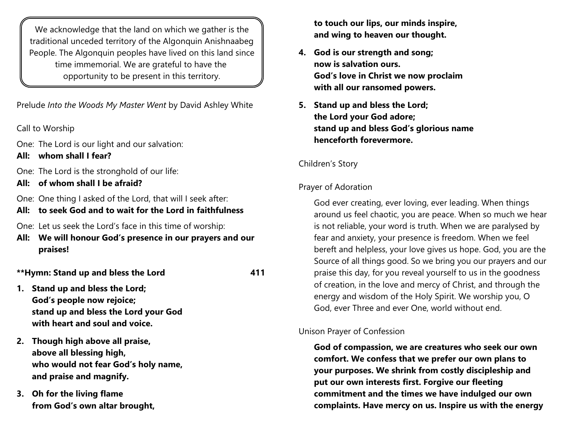We acknowledge that the land on which we gather is the traditional unceded territory of the Algonquin Anishnaabeg People. The Algonquin peoples have lived on this land since time immemorial. We are grateful to have the opportunity to be present in this territory.

Prelude *Into the Woods My Master Went* by David Ashley White

Call to Worship

One: The Lord is our light and our salvation:

**All: whom shall I fear?**

One: The Lord is the stronghold of our life:

**All: of whom shall I be afraid?**

One: One thing I asked of the Lord, that will I seek after:

**All: to seek God and to wait for the Lord in faithfulness**

One: Let us seek the Lord's face in this time of worship:

**All: We will honour God's presence in our prayers and our praises!**

**\*\*Hymn: Stand up and bless the Lord 411**

- **1. Stand up and bless the Lord; God's people now rejoice; stand up and bless the Lord your God with heart and soul and voice.**
- **2. Though high above all praise, above all blessing high, who would not fear God's holy name, and praise and magnify.**
- **3. Oh for the living flame from God's own altar brought,**

**to touch our lips, our minds inspire, and wing to heaven our thought.**

- **4. God is our strength and song; now is salvation ours. God's love in Christ we now proclaim with all our ransomed powers.**
- **5. Stand up and bless the Lord; the Lord your God adore; stand up and bless God's glorious name henceforth forevermore.**

## Children's Story

## Prayer of Adoration

God ever creating, ever loving, ever leading. When things around us feel chaotic, you are peace. When so much we hear is not reliable, your word is truth. When we are paralysed by fear and anxiety, your presence is freedom. When we feel bereft and helpless, your love gives us hope. God, you are the Source of all things good. So we bring you our prayers and our praise this day, for you reveal yourself to us in the goodness of creation, in the love and mercy of Christ, and through the energy and wisdom of the Holy Spirit. We worship you, O God, ever Three and ever One, world without end.

## Unison Prayer of Confession

**God of compassion, we are creatures who seek our own comfort. We confess that we prefer our own plans to your purposes. We shrink from costly discipleship and put our own interests first. Forgive our fleeting commitment and the times we have indulged our own complaints. Have mercy on us. Inspire us with the energy**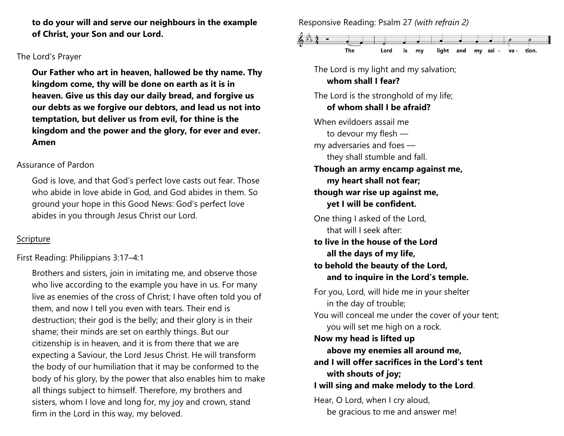**to do your will and serve our neighbours in the example of Christ, your Son and our Lord.**

#### The Lord's Prayer

**Our Father who art in heaven, hallowed be thy name. Thy kingdom come, thy will be done on earth as it is in heaven. Give us this day our daily bread, and forgive us our debts as we forgive our debtors, and lead us not into temptation, but deliver us from evil, for thine is the kingdom and the power and the glory, for ever and ever. Amen**

#### Assurance of Pardon

God is love, and that God's perfect love casts out fear. Those who abide in love abide in God, and God abides in them. So ground your hope in this Good News: God's perfect love abides in you through Jesus Christ our Lord.

## Scripture

### First Reading: Philippians 3:17–4:1

Brothers and sisters, join in imitating me, and observe those who live according to the example you have in us. For many live as enemies of the cross of Christ; I have often told you of them, and now I tell you even with tears. Their end is destruction; their god is the belly; and their glory is in their shame; their minds are set on earthly things. But our citizenship is in heaven, and it is from there that we are expecting a Saviour, the Lord Jesus Christ. He will transform the body of our humiliation that it may be conformed to the body of his glory, by the power that also enables him to make all things subject to himself. Therefore, my brothers and sisters, whom I love and long for, my joy and crown, stand firm in the Lord in this way, my beloved.

Responsive Reading: Psalm 27 *(with refrain 2)*



The Lord is my light and my salvation; **whom shall I fear?** The Lord is the stronghold of my life; **of whom shall I be afraid?** When evildoers assail me to devour my flesh my adversaries and foes they shall stumble and fall. **Though an army encamp against me, my heart shall not fear; though war rise up against me, yet I will be confident.** One thing I asked of the Lord, that will I seek after: **to live in the house of the Lord all the days of my life, to behold the beauty of the Lord, and to inquire in the Lord's temple.** For you, Lord, will hide me in your shelter in the day of trouble; You will conceal me under the cover of your tent; you will set me high on a rock. **Now my head is lifted up above my enemies all around me, and I will offer sacrifices in the Lord's tent with shouts of joy; I will sing and make melody to the Lord**. Hear, O Lord, when I cry aloud, be gracious to me and answer me!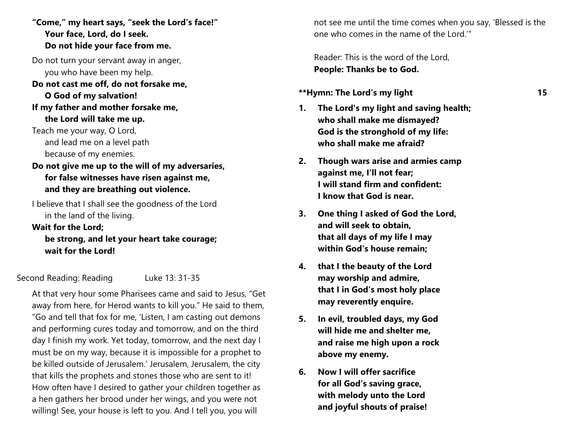**"Come," my heart says, "seek the Lord's face!" Your face, Lord, do I seek. Do not hide your face from me.**

Do not turn your servant away in anger, you who have been my help.

**Do not cast me off, do not forsake me,**

**O God of my salvation!**

**If my father and mother forsake me, the Lord will take me up.**

Teach me your way, O Lord, and lead me on a level path because of my enemies.

**Do not give me up to the will of my adversaries, for false witnesses have risen against me, and they are breathing out violence.**

I believe that I shall see the goodness of the Lord in the land of the living.

**Wait for the Lord;**

**be strong, and let your heart take courage; wait for the Lord!**

Second Reading: Reading Luke 13: 31-35

At that very hour some Pharisees came and said to Jesus, "Get away from here, for Herod wants to kill you." He said to them, "Go and tell that fox for me, 'Listen, I am casting out demons and performing cures today and tomorrow, and on the third day I finish my work. Yet today, tomorrow, and the next day I must be on my way, because it is impossible for a prophet to be killed outside of Jerusalem.' Jerusalem, Jerusalem, the city that kills the prophets and stones those who are sent to it! How often have I desired to gather your children together as a hen gathers her brood under her wings, and you were not willing! See, your house is left to you. And I tell you, you will

not see me until the time comes when you say, 'Blessed is the one who comes in the name of the Lord.'"

Reader: This is the word of the Lord, **People: Thanks be to God.**

**\*\*Hymn: The Lord's my light 15**

- **1. The Lord's my light and saving health; who shall make me dismayed? God is the stronghold of my life: who shall make me afraid?**
- **2. Though wars arise and armies camp against me, I'll not fear; I will stand firm and confident: I know that God is near.**
- **3. One thing I asked of God the Lord, and will seek to obtain, that all days of my life I may within God's house remain;**
- **4. that I the beauty of the Lord may worship and admire, that I in God's most holy place may reverently enquire.**
- **5. In evil, troubled days, my God will hide me and shelter me, and raise me high upon a rock above my enemy.**
- **6. Now I will offer sacrifice for all God's saving grace, with melody unto the Lord and joyful shouts of praise!**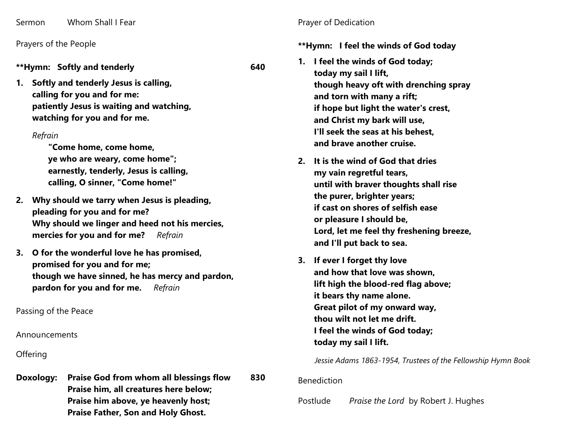Sermon Whom Shall I Fear

#### Prayers of the People

#### **\*\*Hymn: Softly and tenderly 640**

**1. Softly and tenderly Jesus is calling, calling for you and for me: patiently Jesus is waiting and watching, watching for you and for me.**

#### *Refrain*

**"Come home, come home, ye who are weary, come home"; earnestly, tenderly, Jesus is calling, calling, O sinner, "Come home!"**

- **2. Why should we tarry when Jesus is pleading, pleading for you and for me? Why should we linger and heed not his mercies, mercies for you and for me?** *Refrain*
- **3. O for the wonderful love he has promised, promised for you and for me; though we have sinned, he has mercy and pardon, pardon for you and for me.** *Refrain*

Passing of the Peace

Announcements

**Offering** 

**Doxology: Praise God from whom all blessings flow 830 Praise him, all creatures here below; Praise him above, ye heavenly host; Praise Father, Son and Holy Ghost.**

#### Prayer of Dedication

**\*\*Hymn: I feel the winds of God today x**

- **1. I feel the winds of God today; today my sail I lift, though heavy oft with drenching spray and torn with many a rift; if hope but light the water's crest, and Christ my bark will use, I'll seek the seas at his behest, and brave another cruise.**
- **2. It is the wind of God that dries my vain regretful tears, until with braver thoughts shall rise the purer, brighter years; if cast on shores of selfish ease or pleasure I should be, Lord, let me feel thy freshening breeze, and I'll put back to sea.**
- **3. If ever I forget thy love and how that love was shown, lift high the blood-red flag above; it bears thy name alone. Great pilot of my onward way, thou wilt not let me drift. I feel the winds of God today; today my sail I lift.**

*Jessie Adams 1863-1954, Trustees of the Fellowship Hymn Book*

#### Benediction

Postlude *Praise the Lord* by Robert J. Hughes